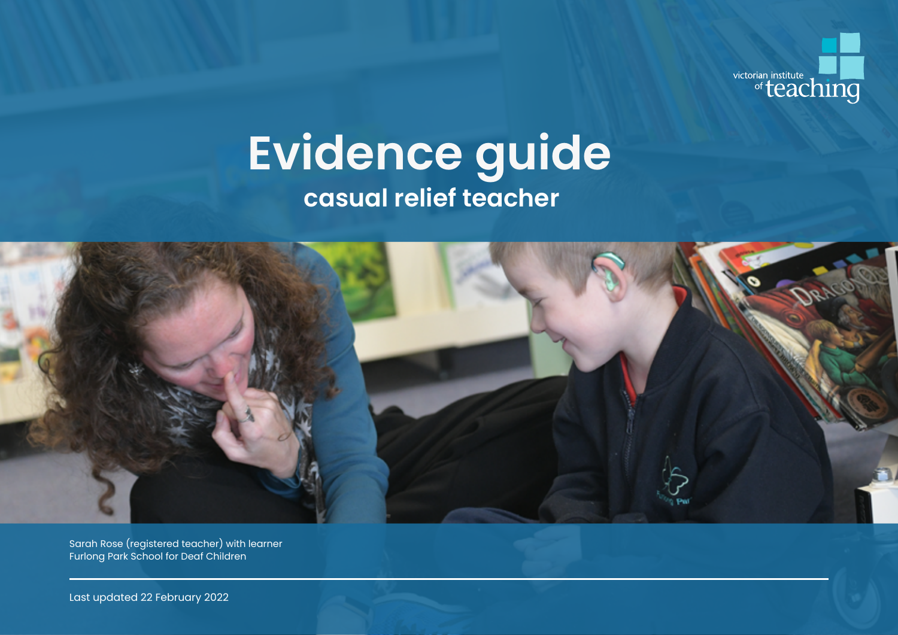

# **Evidence guide casual relief teacher**



Sarah Rose (registered teacher) with learner Furlong Park School for Deaf Children

Last updated 22 February 2022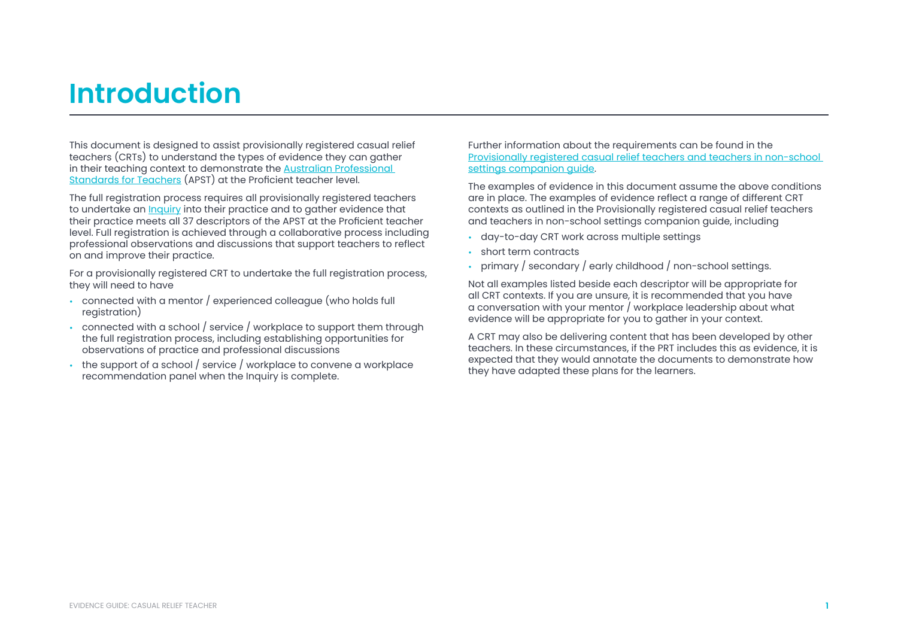### **Introduction**

This document is designed to assist provisionally registered casual relief teachers (CRTs) to understand the types of evidence they can gather in their teaching context to demonstrate the [Australian Professional](https://www.vit.vic.edu.au/maintain/requirements/learning#apst)  [Standards for Teachers](https://www.vit.vic.edu.au/maintain/requirements/learning#apst) (APST) at the Proficient teacher level.

The full registration process requires all provisionally registered teachers to undertake an [Inquiry](https://www.vit.vic.edu.au/register/categories/provisional/moving-to-full) into their practice and to gather evidence that their practice meets all 37 descriptors of the APST at the Proficient teacher level. Full registration is achieved through a collaborative process including professional observations and discussions that support teachers to reflect on and improve their practice.

For a provisionally registered CRT to undertake the full registration process, they will need to have

- **•** connected with a mentor / experienced colleague (who holds full registration)
- **•** connected with a school / service / workplace to support them through the full registration process, including establishing opportunities for observations of practice and professional discussions
- **•** the support of a school / service / workplace to convene a workplace recommendation panel when the Inquiry is complete.

Further information about the requirements can be found in the [Provisionally registered casual relief teachers and teachers in non-school](https://www.vit.vic.edu.au/media/153)  [settings companion guide](https://www.vit.vic.edu.au/media/153).

The examples of evidence in this document assume the above conditions are in place. The examples of evidence reflect a range of different CRT contexts as outlined in the Provisionally registered casual relief teachers and teachers in non-school settings companion guide, including

- **•** day-to-day CRT work across multiple settings
- **•** short term contracts
- **•** primary / secondary / early childhood / non-school settings.

Not all examples listed beside each descriptor will be appropriate for all CRT contexts. If you are unsure, it is recommended that you have a conversation with your mentor / workplace leadership about what evidence will be appropriate for you to gather in your context.

A CRT may also be delivering content that has been developed by other teachers. In these circumstances, if the PRT includes this as evidence, it is expected that they would annotate the documents to demonstrate how they have adapted these plans for the learners.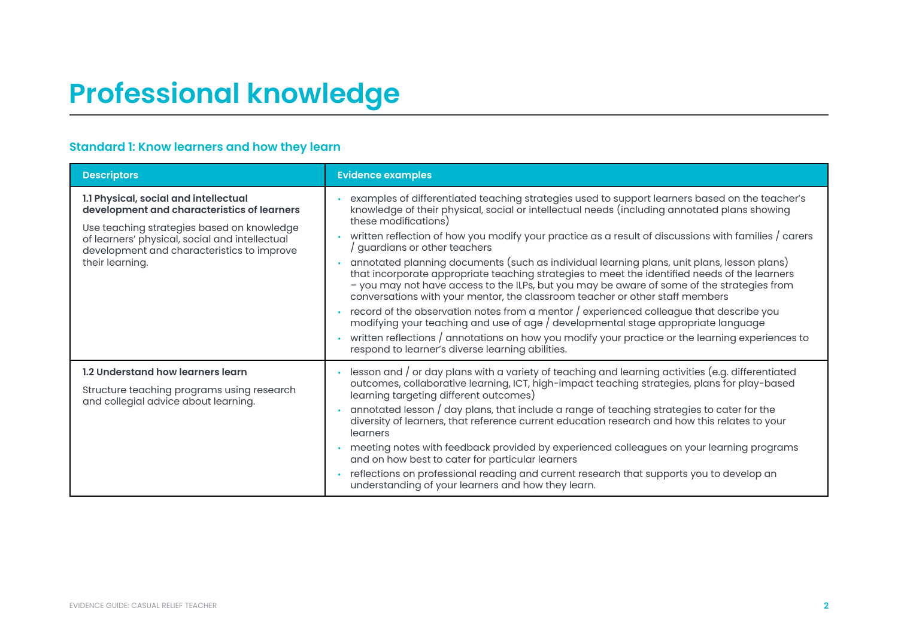## **Professional knowledge**

#### **Standard 1: Know learners and how they learn**

| <b>Descriptors</b>                                                                                                                                                                                                                                    | <b>Evidence examples</b>                                                                                                                                                                                                                                                                                                                                                                                                                                                                                                                                                                                                                                                                                                                                                                                                                                                                                                                                                                                                                                                           |
|-------------------------------------------------------------------------------------------------------------------------------------------------------------------------------------------------------------------------------------------------------|------------------------------------------------------------------------------------------------------------------------------------------------------------------------------------------------------------------------------------------------------------------------------------------------------------------------------------------------------------------------------------------------------------------------------------------------------------------------------------------------------------------------------------------------------------------------------------------------------------------------------------------------------------------------------------------------------------------------------------------------------------------------------------------------------------------------------------------------------------------------------------------------------------------------------------------------------------------------------------------------------------------------------------------------------------------------------------|
| 1.1 Physical, social and intellectual<br>development and characteristics of learners<br>Use teaching strategies based on knowledge<br>of learners' physical, social and intellectual<br>development and characteristics to improve<br>their learning. | examples of differentiated teaching strategies used to support learners based on the teacher's<br>knowledge of their physical, social or intellectual needs (including annotated plans showing<br>these modifications)<br>written reflection of how you modify your practice as a result of discussions with families / carers<br>guardians or other teachers<br>annotated planning documents (such as individual learning plans, unit plans, lesson plans)<br>that incorporate appropriate teaching strategies to meet the identified needs of the learners<br>- you may not have access to the ILPs, but you may be aware of some of the strategies from<br>conversations with your mentor, the classroom teacher or other staff members<br>record of the observation notes from a mentor / experienced colleague that describe you<br>modifying your teaching and use of age / developmental stage appropriate language<br>written reflections / annotations on how you modify your practice or the learning experiences to<br>respond to learner's diverse learning abilities. |
| 1.2 Understand how learners learn<br>Structure teaching programs using research<br>and collegial advice about learning.                                                                                                                               | lesson and / or day plans with a variety of teaching and learning activities (e.g. differentiated<br>outcomes, collaborative learning, ICT, high-impact teaching strategies, plans for play-based<br>learning targeting different outcomes)<br>annotated lesson / day plans, that include a range of teaching strategies to cater for the<br>diversity of learners, that reference current education research and how this relates to your<br>learners<br>meeting notes with feedback provided by experienced colleagues on your learning programs<br>and on how best to cater for particular learners<br>reflections on professional reading and current research that supports you to develop an<br>understanding of your learners and how they learn.                                                                                                                                                                                                                                                                                                                           |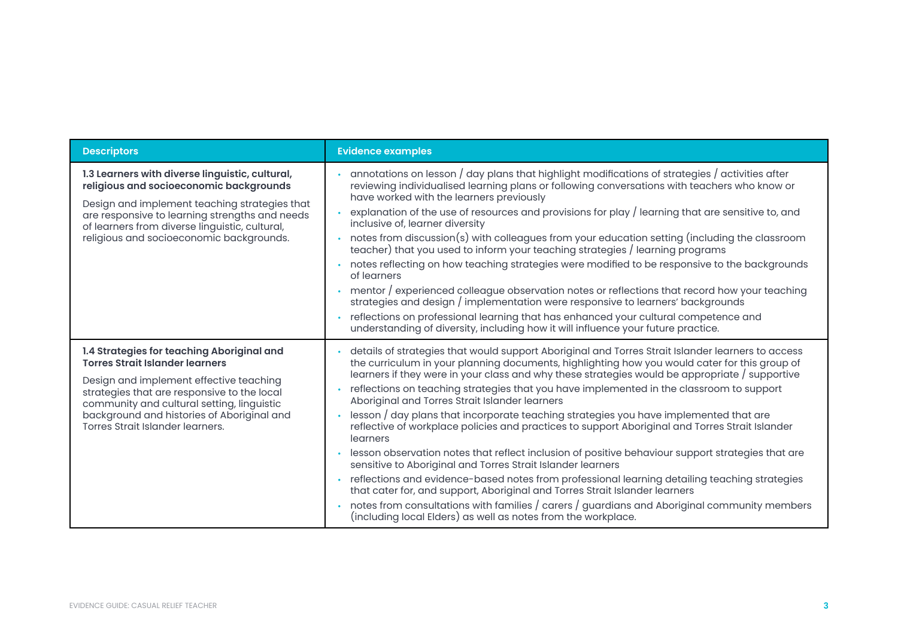| <b>Descriptors</b>                                                                                                                                                                                                                                                                                             | <b>Evidence examples</b>                                                                                                                                                                                                                                                                                                                                                                                                                                                                                                                                                                                                                                                                                                                                                                                                                                                                                                                                                                                                                                                                                                                                                        |
|----------------------------------------------------------------------------------------------------------------------------------------------------------------------------------------------------------------------------------------------------------------------------------------------------------------|---------------------------------------------------------------------------------------------------------------------------------------------------------------------------------------------------------------------------------------------------------------------------------------------------------------------------------------------------------------------------------------------------------------------------------------------------------------------------------------------------------------------------------------------------------------------------------------------------------------------------------------------------------------------------------------------------------------------------------------------------------------------------------------------------------------------------------------------------------------------------------------------------------------------------------------------------------------------------------------------------------------------------------------------------------------------------------------------------------------------------------------------------------------------------------|
| 1.3 Learners with diverse linguistic, cultural,<br>religious and socioeconomic backgrounds<br>Design and implement teaching strategies that<br>are responsive to learning strengths and needs<br>of learners from diverse linguistic, cultural,<br>religious and socioeconomic backgrounds.                    | annotations on lesson / day plans that highlight modifications of strategies / activities after<br>reviewing individualised learning plans or following conversations with teachers who know or<br>have worked with the learners previously<br>explanation of the use of resources and provisions for play / learning that are sensitive to, and<br>inclusive of, learner diversity<br>notes from discussion(s) with colleagues from your education setting (including the classroom<br>teacher) that you used to inform your teaching strategies / learning programs<br>notes reflecting on how teaching strategies were modified to be responsive to the backgrounds<br>of learners<br>mentor / experienced colleague observation notes or reflections that record how your teaching<br>strategies and design / implementation were responsive to learners' backgrounds<br>reflections on professional learning that has enhanced your cultural competence and<br>understanding of diversity, including how it will influence your future practice.                                                                                                                           |
| 1.4 Strategies for teaching Aboriginal and<br><b>Torres Strait Islander learners</b><br>Design and implement effective teaching<br>strategies that are responsive to the local<br>community and cultural setting, linguistic<br>background and histories of Aboriginal and<br>Torres Strait Islander learners. | details of strategies that would support Aboriginal and Torres Strait Islander learners to access<br>the curriculum in your planning documents, highlighting how you would cater for this group of<br>learners if they were in your class and why these strategies would be appropriate / supportive<br>reflections on teaching strategies that you have implemented in the classroom to support<br>Aboriginal and Torres Strait Islander learners<br>lesson / day plans that incorporate teaching strategies you have implemented that are<br>reflective of workplace policies and practices to support Aboriginal and Torres Strait Islander<br>learners<br>lesson observation notes that reflect inclusion of positive behaviour support strategies that are<br>sensitive to Aboriginal and Torres Strait Islander learners<br>reflections and evidence-based notes from professional learning detailing teaching strategies<br>that cater for, and support, Aboriginal and Torres Strait Islander learners<br>notes from consultations with families / carers / guardians and Aboriginal community members<br>(including local Elders) as well as notes from the workplace. |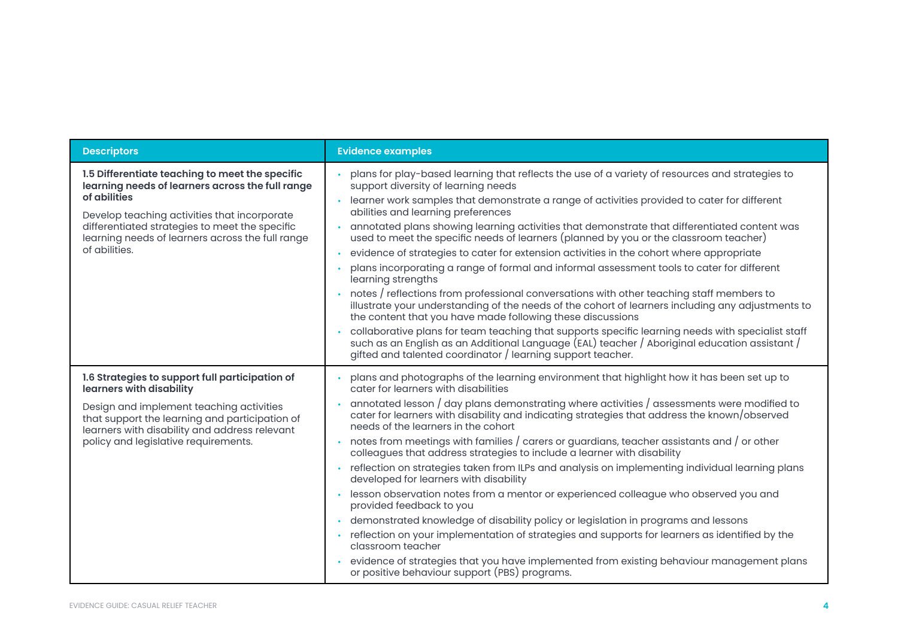| <b>Descriptors</b>                                                                                                                                                                                                                                                                         | <b>Evidence examples</b>                                                                                                                                                                                                                                                                                                                                                                                                                                                                                                                                                                                                                                                                                                                                                                                                                                                                                                                                                                                                                                                                                                                                                                                                 |
|--------------------------------------------------------------------------------------------------------------------------------------------------------------------------------------------------------------------------------------------------------------------------------------------|--------------------------------------------------------------------------------------------------------------------------------------------------------------------------------------------------------------------------------------------------------------------------------------------------------------------------------------------------------------------------------------------------------------------------------------------------------------------------------------------------------------------------------------------------------------------------------------------------------------------------------------------------------------------------------------------------------------------------------------------------------------------------------------------------------------------------------------------------------------------------------------------------------------------------------------------------------------------------------------------------------------------------------------------------------------------------------------------------------------------------------------------------------------------------------------------------------------------------|
| 1.5 Differentiate teaching to meet the specific<br>learning needs of learners across the full range<br>of abilities<br>Develop teaching activities that incorporate<br>differentiated strategies to meet the specific<br>learning needs of learners across the full range<br>of abilities. | plans for play-based learning that reflects the use of a variety of resources and strategies to<br>support diversity of learning needs<br>learner work samples that demonstrate a range of activities provided to cater for different<br>abilities and learning preferences<br>annotated plans showing learning activities that demonstrate that differentiated content was<br>used to meet the specific needs of learners (planned by you or the classroom teacher)<br>evidence of strategies to cater for extension activities in the cohort where appropriate<br>plans incorporating a range of formal and informal assessment tools to cater for different<br>learning strengths<br>notes / reflections from professional conversations with other teaching staff members to<br>illustrate your understanding of the needs of the cohort of learners including any adjustments to<br>the content that you have made following these discussions<br>collaborative plans for team teaching that supports specific learning needs with specialist staff<br>such as an English as an Additional Language (EAL) teacher / Aboriginal education assistant /<br>gifted and talented coordinator / learning support teacher. |
| 1.6 Strategies to support full participation of<br>learners with disability<br>Design and implement teaching activities<br>that support the learning and participation of<br>learners with disability and address relevant<br>policy and legislative requirements.                         | plans and photographs of the learning environment that highlight how it has been set up to<br>cater for learners with disabilities<br>annotated lesson $/$ day plans demonstrating where activities $/$ assessments were modified to<br>cater for learners with disability and indicating strategies that address the known/observed<br>needs of the learners in the cohort<br>notes from meetings with families / carers or guardians, teacher assistants and / or other<br>colleagues that address strategies to include a learner with disability<br>reflection on strategies taken from ILPs and analysis on implementing individual learning plans<br>developed for learners with disability<br>lesson observation notes from a mentor or experienced colleague who observed you and<br>provided feedback to you<br>demonstrated knowledge of disability policy or legislation in programs and lessons<br>reflection on your implementation of strategies and supports for learners as identified by the<br>classroom teacher<br>evidence of strategies that you have implemented from existing behaviour management plans<br>or positive behaviour support (PBS) programs.                                         |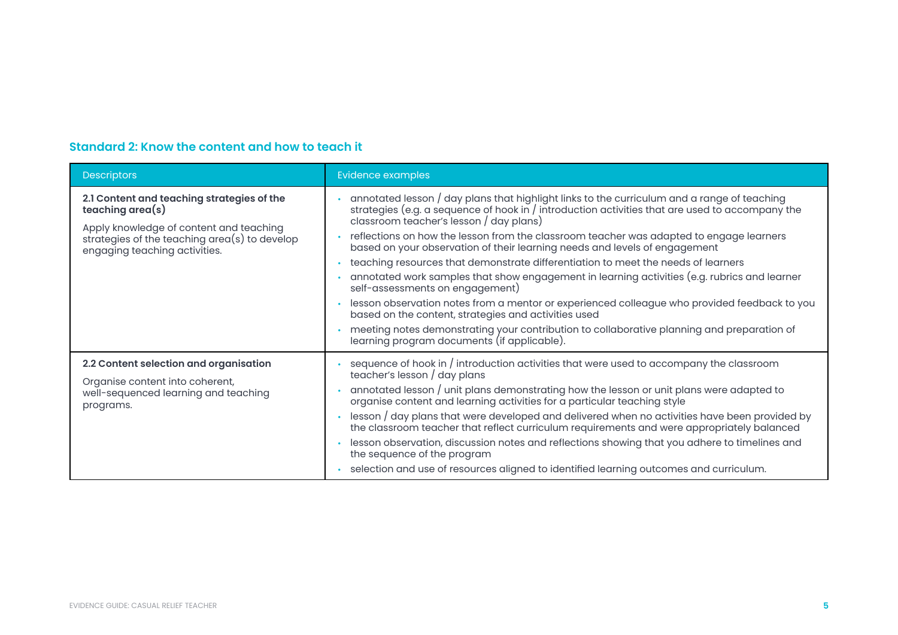#### **Standard 2: Know the content and how to teach it**

| <b>Descriptors</b>                                                                                                                                                                               | <b>Evidence examples</b>                                                                                                                                                                                                                                                                                                                                                                                                                                                                                                                                                                                                                                                                                                                                                                                                                                                                                                                        |
|--------------------------------------------------------------------------------------------------------------------------------------------------------------------------------------------------|-------------------------------------------------------------------------------------------------------------------------------------------------------------------------------------------------------------------------------------------------------------------------------------------------------------------------------------------------------------------------------------------------------------------------------------------------------------------------------------------------------------------------------------------------------------------------------------------------------------------------------------------------------------------------------------------------------------------------------------------------------------------------------------------------------------------------------------------------------------------------------------------------------------------------------------------------|
| 2.1 Content and teaching strategies of the<br>teaching area $(s)$<br>Apply knowledge of content and teaching<br>strategies of the teaching $area(s)$ to develop<br>engaging teaching activities. | annotated lesson / day plans that highlight links to the curriculum and a range of teaching<br>strategies (e.g. a sequence of hook in / introduction activities that are used to accompany the<br>classroom teacher's lesson / day plans)<br>reflections on how the lesson from the classroom teacher was adapted to engage learners<br>based on your observation of their learning needs and levels of engagement<br>teaching resources that demonstrate differentiation to meet the needs of learners<br>annotated work samples that show engagement in learning activities (e.g. rubrics and learner<br>self-assessments on engagement)<br>lesson observation notes from a mentor or experienced colleague who provided feedback to you<br>based on the content, strategies and activities used<br>meeting notes demonstrating your contribution to collaborative planning and preparation of<br>learning program documents (if applicable). |
| 2.2 Content selection and organisation<br>Organise content into coherent,<br>well-sequenced learning and teaching<br>programs.                                                                   | sequence of hook in / introduction activities that were used to accompany the classroom<br>teacher's lesson $/$ day plans<br>annotated lesson / unit plans demonstrating how the lesson or unit plans were adapted to<br>organise content and learning activities for a particular teaching style<br>lesson / day plans that were developed and delivered when no activities have been provided by<br>the classroom teacher that reflect curriculum requirements and were appropriately balanced<br>lesson observation, discussion notes and reflections showing that you adhere to timelines and<br>the sequence of the program<br>selection and use of resources aligned to identified learning outcomes and curriculum.                                                                                                                                                                                                                      |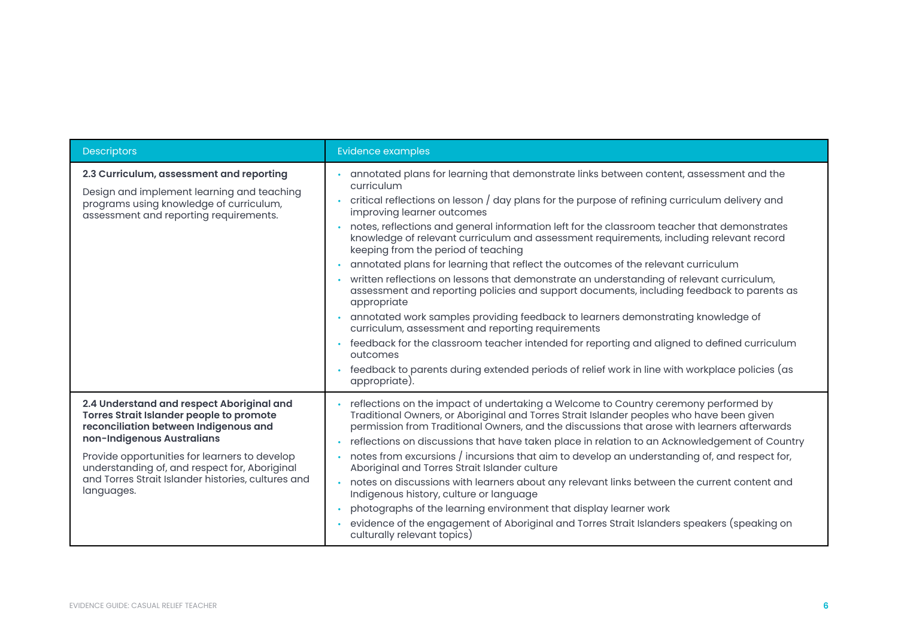| <b>Descriptors</b>                                                                                                                                                                                                                                                                                                                 | <b>Evidence examples</b>                                                                                                                                                                                                                                                                                                                                                                                                                                                                                                                                                                                                                                                                                                                                                                                                                                                                                                                                                                                                                                                                                                                   |
|------------------------------------------------------------------------------------------------------------------------------------------------------------------------------------------------------------------------------------------------------------------------------------------------------------------------------------|--------------------------------------------------------------------------------------------------------------------------------------------------------------------------------------------------------------------------------------------------------------------------------------------------------------------------------------------------------------------------------------------------------------------------------------------------------------------------------------------------------------------------------------------------------------------------------------------------------------------------------------------------------------------------------------------------------------------------------------------------------------------------------------------------------------------------------------------------------------------------------------------------------------------------------------------------------------------------------------------------------------------------------------------------------------------------------------------------------------------------------------------|
| 2.3 Curriculum, assessment and reporting<br>Design and implement learning and teaching<br>programs using knowledge of curriculum,<br>assessment and reporting requirements.                                                                                                                                                        | annotated plans for learning that demonstrate links between content, assessment and the<br>curriculum<br>critical reflections on lesson / day plans for the purpose of refining curriculum delivery and<br>improving learner outcomes<br>notes, reflections and general information left for the classroom teacher that demonstrates<br>knowledge of relevant curriculum and assessment requirements, including relevant record<br>keeping from the period of teaching<br>annotated plans for learning that reflect the outcomes of the relevant curriculum<br>written reflections on lessons that demonstrate an understanding of relevant curriculum,<br>assessment and reporting policies and support documents, including feedback to parents as<br>appropriate<br>annotated work samples providing feedback to learners demonstrating knowledge of<br>curriculum, assessment and reporting requirements<br>feedback for the classroom teacher intended for reporting and aligned to defined curriculum<br>outcomes<br>feedback to parents during extended periods of relief work in line with workplace policies (as<br>appropriate). |
| 2.4 Understand and respect Aboriginal and<br>Torres Strait Islander people to promote<br>reconciliation between Indigenous and<br>non-Indigenous Australians<br>Provide opportunities for learners to develop<br>understanding of, and respect for, Aboriginal<br>and Torres Strait Islander histories, cultures and<br>languages. | reflections on the impact of undertaking a Welcome to Country ceremony performed by<br>Traditional Owners, or Aboriginal and Torres Strait Islander peoples who have been given<br>permission from Traditional Owners, and the discussions that arose with learners afterwards<br>reflections on discussions that have taken place in relation to an Acknowledgement of Country<br>notes from excursions / incursions that aim to develop an understanding of, and respect for,<br>Aboriginal and Torres Strait Islander culture<br>notes on discussions with learners about any relevant links between the current content and<br>Indigenous history, culture or language<br>photographs of the learning environment that display learner work<br>evidence of the engagement of Aboriginal and Torres Strait Islanders speakers (speaking on<br>culturally relevant topics)                                                                                                                                                                                                                                                               |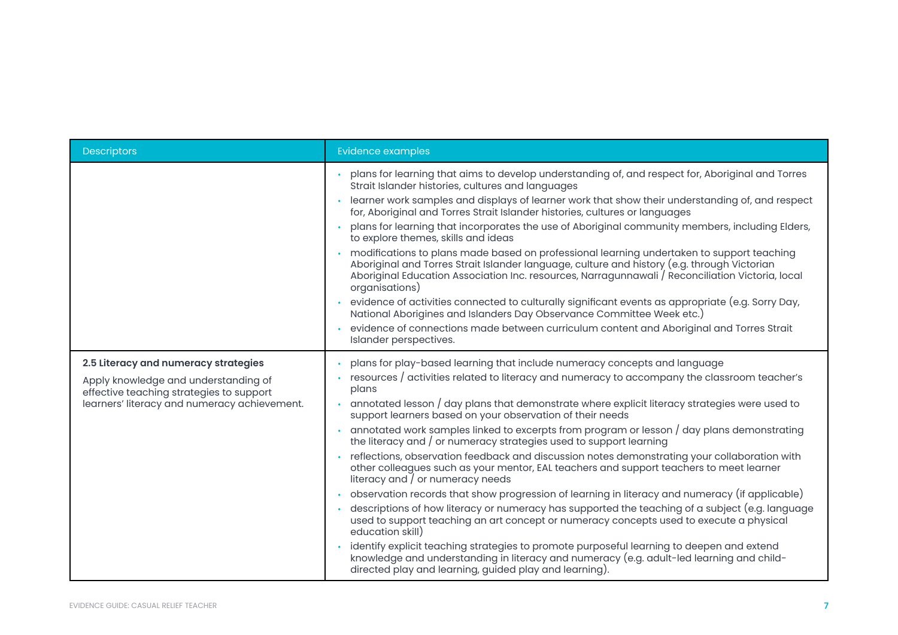| <b>Descriptors</b>                                                               | <b>Evidence examples</b>                                                                                                                                                                                                                                                                                       |
|----------------------------------------------------------------------------------|----------------------------------------------------------------------------------------------------------------------------------------------------------------------------------------------------------------------------------------------------------------------------------------------------------------|
|                                                                                  | plans for learning that aims to develop understanding of, and respect for, Aboriginal and Torres<br>Strait Islander histories, cultures and languages                                                                                                                                                          |
|                                                                                  | learner work samples and displays of learner work that show their understanding of, and respect<br>for, Aboriginal and Torres Strait Islander histories, cultures or languages                                                                                                                                 |
|                                                                                  | plans for learning that incorporates the use of Aboriginal community members, including Elders,<br>to explore themes, skills and ideas                                                                                                                                                                         |
|                                                                                  | modifications to plans made based on professional learning undertaken to support teaching<br>Aboriginal and Torres Strait Islander language, culture and history (e.g. through Victorian<br>Aboriginal Education Association Inc. resources, Narragunnawali / Reconciliation Victoria, local<br>organisations) |
|                                                                                  | evidence of activities connected to culturally significant events as appropriate (e.g. Sorry Day,<br>National Aborigines and Islanders Day Observance Committee Week etc.)                                                                                                                                     |
|                                                                                  | evidence of connections made between curriculum content and Aboriginal and Torres Strait<br>Islander perspectives.                                                                                                                                                                                             |
| 2.5 Literacy and numeracy strategies                                             | plans for play-based learning that include numeracy concepts and language                                                                                                                                                                                                                                      |
| Apply knowledge and understanding of<br>effective teaching strategies to support | resources / activities related to literacy and numeracy to accompany the classroom teacher's<br>plans                                                                                                                                                                                                          |
| learners' literacy and numeracy achievement.                                     | annotated lesson / day plans that demonstrate where explicit literacy strategies were used to<br>support learners based on your observation of their needs                                                                                                                                                     |
|                                                                                  | annotated work samples linked to excerpts from program or lesson $\frac{1}{2}$ day plans demonstrating<br>the literacy and / or numeracy strategies used to support learning                                                                                                                                   |
|                                                                                  | reflections, observation feedback and discussion notes demonstrating your collaboration with<br>other colleagues such as your mentor, EAL teachers and support teachers to meet learner<br>literacy and $\overline{ }$ or numeracy needs                                                                       |
|                                                                                  | observation records that show progression of learning in literacy and numeracy (if applicable)                                                                                                                                                                                                                 |
|                                                                                  | descriptions of how literacy or numeracy has supported the teaching of a subject (e.g. language<br>used to support teaching an art concept or numeracy concepts used to execute a physical<br>education skill)                                                                                                 |
|                                                                                  | identify explicit teaching strategies to promote purposeful learning to deepen and extend<br>knowledge and understanding in literacy and numeracy (e.g. adult-led learning and child-<br>directed play and learning, guided play and learning).                                                                |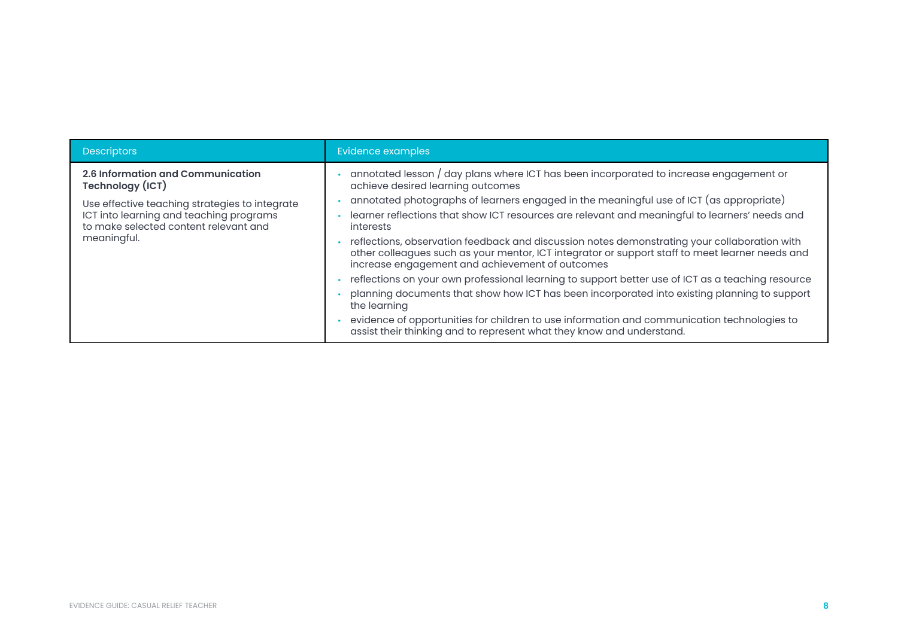| <b>Descriptors</b>                                                                                                                                | Evidence examples                                                                                                                                                                                                                                  |
|---------------------------------------------------------------------------------------------------------------------------------------------------|----------------------------------------------------------------------------------------------------------------------------------------------------------------------------------------------------------------------------------------------------|
| 2.6 Information and Communication<br>Technology (ICT)                                                                                             | annotated lesson / day plans where ICT has been incorporated to increase engagement or<br>achieve desired learning outcomes                                                                                                                        |
| Use effective teaching strategies to integrate<br>ICT into learning and teaching programs<br>to make selected content relevant and<br>meaningful. | annotated photographs of learners engaged in the meaningful use of ICT (as appropriate)                                                                                                                                                            |
|                                                                                                                                                   | learner reflections that show ICT resources are relevant and meaningful to learners' needs and<br>interests                                                                                                                                        |
|                                                                                                                                                   | reflections, observation feedback and discussion notes demonstrating your collaboration with<br>other colleagues such as your mentor, ICT integrator or support staff to meet learner needs and<br>increase engagement and achievement of outcomes |
|                                                                                                                                                   | reflections on your own professional learning to support better use of ICT as a teaching resource                                                                                                                                                  |
|                                                                                                                                                   | planning documents that show how ICT has been incorporated into existing planning to support<br>the learning                                                                                                                                       |
|                                                                                                                                                   | evidence of opportunities for children to use information and communication technologies to<br>assist their thinking and to represent what they know and understand.                                                                               |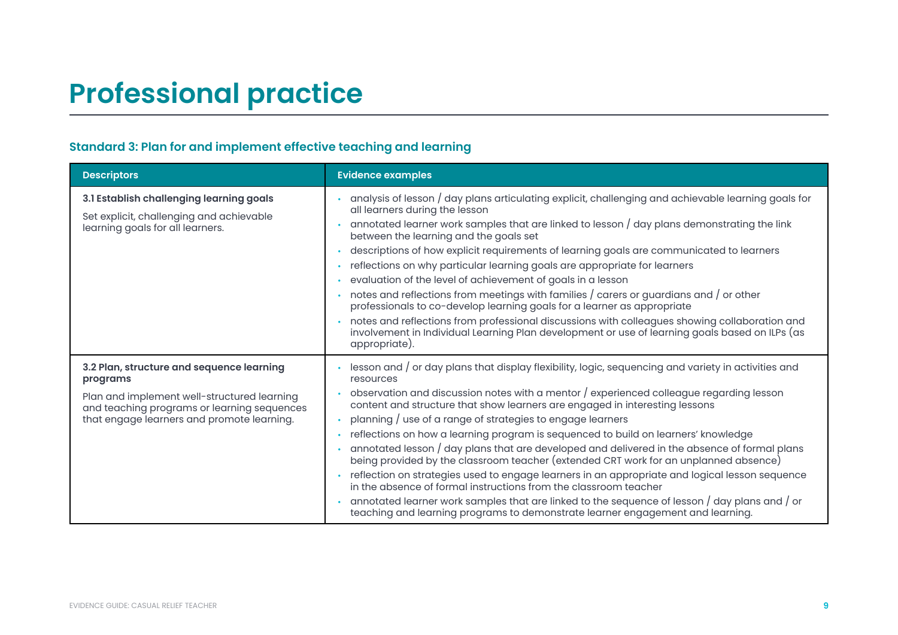### **Professional practice**

#### **Standard 3: Plan for and implement effective teaching and learning**

| <b>Descriptors</b>                                                                                                                       | <b>Evidence examples</b>                                                                                                                                                                                                                                                                                                                                                                                                                                                                                                                                                                                                                                                                                                                                                                                                                                                                                        |
|------------------------------------------------------------------------------------------------------------------------------------------|-----------------------------------------------------------------------------------------------------------------------------------------------------------------------------------------------------------------------------------------------------------------------------------------------------------------------------------------------------------------------------------------------------------------------------------------------------------------------------------------------------------------------------------------------------------------------------------------------------------------------------------------------------------------------------------------------------------------------------------------------------------------------------------------------------------------------------------------------------------------------------------------------------------------|
| 3.1 Establish challenging learning goals<br>Set explicit, challenging and achievable<br>learning goals for all learners.                 | analysis of lesson / day plans articulating explicit, challenging and achievable learning goals for<br>all learners during the lesson<br>annotated learner work samples that are linked to lesson / day plans demonstrating the link<br>between the learning and the goals set<br>descriptions of how explicit requirements of learning goals are communicated to learners<br>reflections on why particular learning goals are appropriate for learners<br>evaluation of the level of achievement of goals in a lesson<br>notes and reflections from meetings with families / carers or guardians and / or other<br>professionals to co-develop learning goals for a learner as appropriate<br>notes and reflections from professional discussions with colleagues showing collaboration and<br>involvement in Individual Learning Plan development or use of learning goals based on ILPs (as<br>appropriate). |
| 3.2 Plan, structure and sequence learning<br>programs                                                                                    | lesson and / or day plans that display flexibility, logic, sequencing and variety in activities and<br>resources                                                                                                                                                                                                                                                                                                                                                                                                                                                                                                                                                                                                                                                                                                                                                                                                |
| Plan and implement well-structured learning<br>and teaching programs or learning sequences<br>that engage learners and promote learning. | observation and discussion notes with a mentor / experienced colleague regarding lesson<br>content and structure that show learners are engaged in interesting lessons<br>planning / use of a range of strategies to engage learners<br>reflections on how a learning program is sequenced to build on learners' knowledge<br>annotated lesson / day plans that are developed and delivered in the absence of formal plans<br>being provided by the classroom teacher (extended CRT work for an unplanned absence)<br>reflection on strategies used to engage learners in an appropriate and logical lesson sequence<br>in the absence of formal instructions from the classroom teacher<br>annotated learner work samples that are linked to the sequence of lesson $\frac{1}{2}$ day plans and $\frac{1}{2}$ or<br>teaching and learning programs to demonstrate learner engagement and learning.             |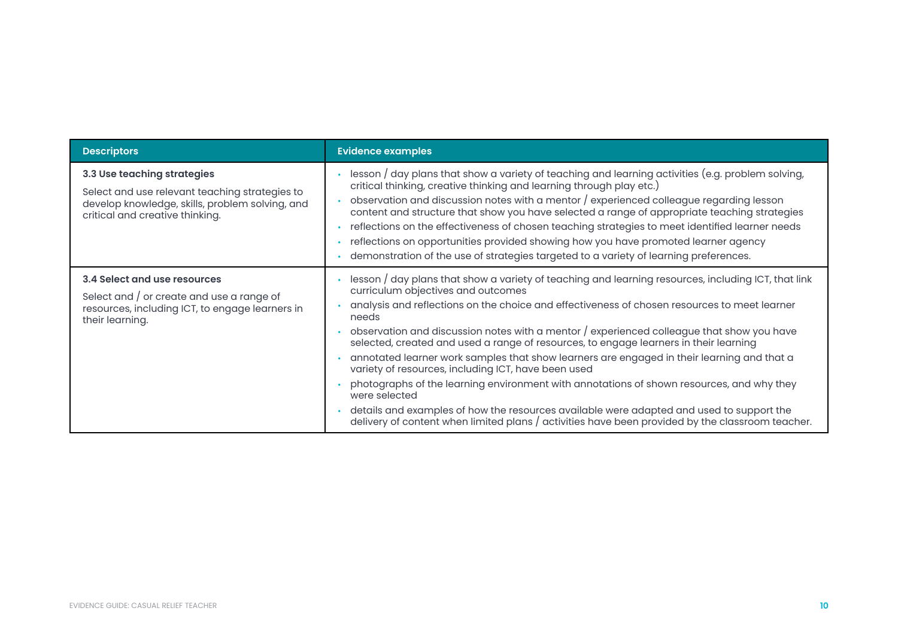| <b>Descriptors</b>                                                                                                                                                  | <b>Evidence examples</b>                                                                                                                                                                                                                                                                                                                                                                                                                                                                                                                                                                                                                                                                                                                                                                                                                                                                                      |
|---------------------------------------------------------------------------------------------------------------------------------------------------------------------|---------------------------------------------------------------------------------------------------------------------------------------------------------------------------------------------------------------------------------------------------------------------------------------------------------------------------------------------------------------------------------------------------------------------------------------------------------------------------------------------------------------------------------------------------------------------------------------------------------------------------------------------------------------------------------------------------------------------------------------------------------------------------------------------------------------------------------------------------------------------------------------------------------------|
| 3.3 Use teaching strategies<br>Select and use relevant teaching strategies to<br>develop knowledge, skills, problem solving, and<br>critical and creative thinking. | lesson / day plans that show a variety of teaching and learning activities (e.g. problem solving,<br>critical thinking, creative thinking and learning through play etc.)<br>observation and discussion notes with a mentor / experienced colleague regarding lesson<br>content and structure that show you have selected a range of appropriate teaching strategies<br>reflections on the effectiveness of chosen teaching strategies to meet identified learner needs<br>reflections on opportunities provided showing how you have promoted learner agency<br>demonstration of the use of strategies targeted to a variety of learning preferences.                                                                                                                                                                                                                                                        |
| 3.4 Select and use resources<br>Select and / or create and use a range of<br>resources, including ICT, to engage learners in<br>their learning.                     | lesson / day plans that show a variety of teaching and learning resources, including ICT, that link<br>curriculum objectives and outcomes<br>analysis and reflections on the choice and effectiveness of chosen resources to meet learner<br>needs<br>observation and discussion notes with a mentor / experienced colleague that show you have<br>selected, created and used a range of resources, to engage learners in their learning<br>annotated learner work samples that show learners are engaged in their learning and that a<br>variety of resources, including ICT, have been used<br>photographs of the learning environment with annotations of shown resources, and why they<br>were selected<br>details and examples of how the resources available were adapted and used to support the<br>delivery of content when limited plans $/$ activities have been provided by the classroom teacher. |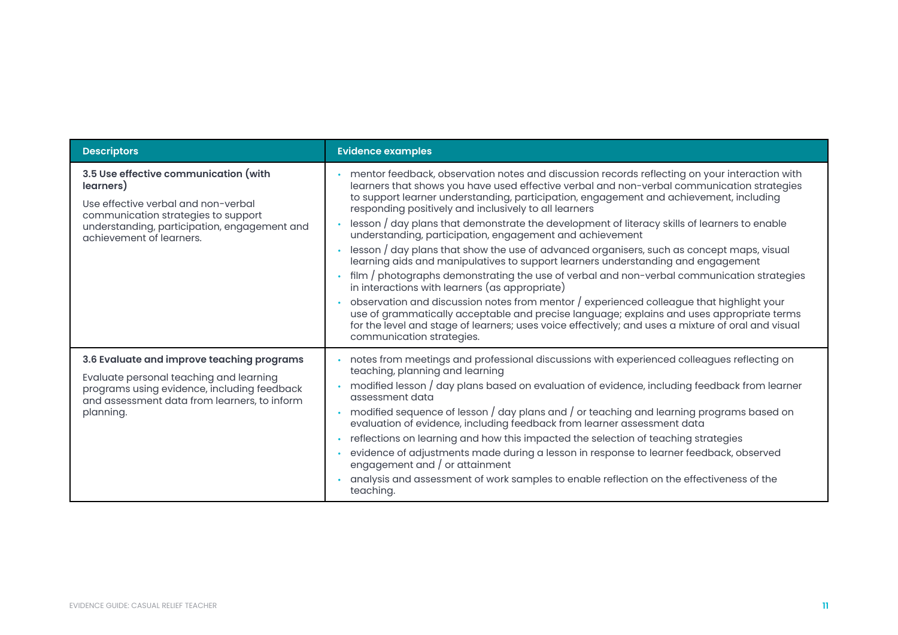| <b>Descriptors</b>                                                                                                                                                                                           | <b>Evidence examples</b>                                                                                                                                                                                                                                                                                                                                                                                                                                                                                                                                                                                                                                                                                                                                                                                                                                                                                                                                                                                                                                                                                                                                                  |
|--------------------------------------------------------------------------------------------------------------------------------------------------------------------------------------------------------------|---------------------------------------------------------------------------------------------------------------------------------------------------------------------------------------------------------------------------------------------------------------------------------------------------------------------------------------------------------------------------------------------------------------------------------------------------------------------------------------------------------------------------------------------------------------------------------------------------------------------------------------------------------------------------------------------------------------------------------------------------------------------------------------------------------------------------------------------------------------------------------------------------------------------------------------------------------------------------------------------------------------------------------------------------------------------------------------------------------------------------------------------------------------------------|
| 3.5 Use effective communication (with<br>learners)<br>Use effective verbal and non-verbal<br>communication strategies to support<br>understanding, participation, engagement and<br>achievement of learners. | • mentor feedback, observation notes and discussion records reflecting on your interaction with<br>learners that shows you have used effective verbal and non-verbal communication strategies<br>to support learner understanding, participation, engagement and achievement, including<br>responding positively and inclusively to all learners<br>lesson / day plans that demonstrate the development of literacy skills of learners to enable<br>understanding, participation, engagement and achievement<br>lesson / day plans that show the use of advanced organisers, such as concept maps, visual<br>learning aids and manipulatives to support learners understanding and engagement<br>film / photographs demonstrating the use of verbal and non-verbal communication strategies<br>in interactions with learners (as appropriate)<br>observation and discussion notes from mentor / experienced colleague that highlight your<br>use of grammatically acceptable and precise language; explains and uses appropriate terms<br>for the level and stage of learners; uses voice effectively; and uses a mixture of oral and visual<br>communication strategies. |
| 3.6 Evaluate and improve teaching programs<br>Evaluate personal teaching and learning<br>programs using evidence, including feedback<br>and assessment data from learners, to inform<br>planning.            | notes from meetings and professional discussions with experienced colleagues reflecting on<br>teaching, planning and learning<br>modified lesson / day plans based on evaluation of evidence, including feedback from learner<br>assessment data<br>modified sequence of lesson / day plans and / or teaching and learning programs based on<br>evaluation of evidence, including feedback from learner assessment data<br>reflections on learning and how this impacted the selection of teaching strategies<br>evidence of adjustments made during a lesson in response to learner feedback, observed<br>engagement and / or attainment<br>analysis and assessment of work samples to enable reflection on the effectiveness of the<br>teaching.                                                                                                                                                                                                                                                                                                                                                                                                                        |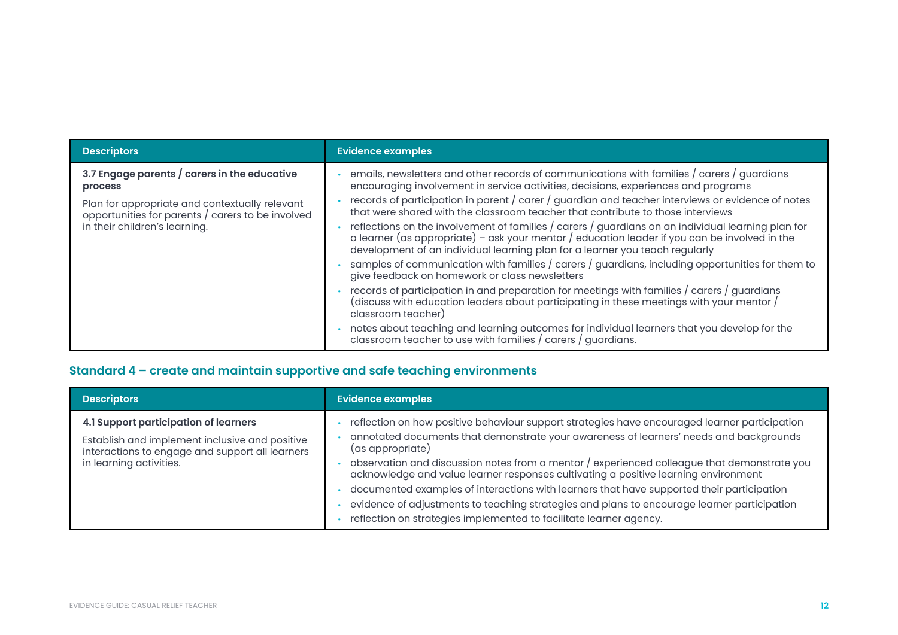| <b>Descriptors</b>                                                                                                                   | <b>Evidence examples</b>                                                                                                                                                                                                                                                            |
|--------------------------------------------------------------------------------------------------------------------------------------|-------------------------------------------------------------------------------------------------------------------------------------------------------------------------------------------------------------------------------------------------------------------------------------|
| 3.7 Engage parents / carers in the educative<br>process                                                                              | emails, newsletters and other records of communications with families / carers / guardians<br>encouraging involvement in service activities, decisions, experiences and programs                                                                                                    |
| Plan for appropriate and contextually relevant<br>opportunities for parents / carers to be involved<br>in their children's learning. | records of participation in parent $\int$ carer $\int$ guardian and teacher interviews or evidence of notes<br>that were shared with the classroom teacher that contribute to those interviews                                                                                      |
|                                                                                                                                      | reflections on the involvement of families / carers / guardians on an individual learning plan for<br>a learner (as appropriate) - ask your mentor / education leader if you can be involved in the<br>development of an individual learning plan for a learner you teach regularly |
|                                                                                                                                      | samples of communication with families / carers / guardians, including opportunities for them to<br>give feedback on homework or class newsletters                                                                                                                                  |
|                                                                                                                                      | records of participation in and preparation for meetings with families / carers / guardians<br>(discuss with education leaders about participating in these meetings with your mentor /<br>classroom teacher)                                                                       |
|                                                                                                                                      | notes about teaching and learning outcomes for individual learners that you develop for the<br>classroom teacher to use with families / carers / guardians.                                                                                                                         |

### **Standard 4 – create and maintain supportive and safe teaching environments**

| <b>Descriptors</b>                                                                                                                                                    | <b>Evidence examples</b>                                                                                                                                                                                                                                                                                                                                                                                                                                                                                                                                                                                                                                            |
|-----------------------------------------------------------------------------------------------------------------------------------------------------------------------|---------------------------------------------------------------------------------------------------------------------------------------------------------------------------------------------------------------------------------------------------------------------------------------------------------------------------------------------------------------------------------------------------------------------------------------------------------------------------------------------------------------------------------------------------------------------------------------------------------------------------------------------------------------------|
| 4.1 Support participation of learners<br>Establish and implement inclusive and positive<br>interactions to engage and support all learners<br>in learning activities. | reflection on how positive behaviour support strategies have encouraged learner participation<br>annotated documents that demonstrate your awareness of learners' needs and backgrounds<br>(as appropriate)<br>observation and discussion notes from a mentor / experienced colleague that demonstrate you<br>acknowledge and value learner responses cultivating a positive learning environment<br>documented examples of interactions with learners that have supported their participation<br>evidence of adjustments to teaching strategies and plans to encourage learner participation<br>reflection on strategies implemented to facilitate learner agency. |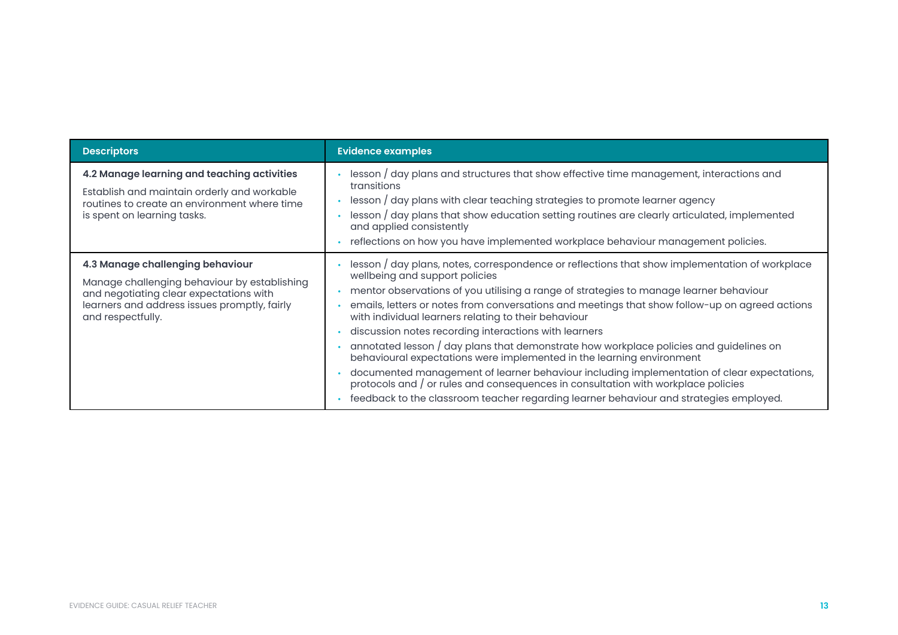| <b>Descriptors</b>                                                                                                                                                                               | <b>Evidence examples</b>                                                                                                                                                                                                                                                                                                                                                                                                                                                                                                                                                                                                                                                                                                                                                                                                                                                                      |
|--------------------------------------------------------------------------------------------------------------------------------------------------------------------------------------------------|-----------------------------------------------------------------------------------------------------------------------------------------------------------------------------------------------------------------------------------------------------------------------------------------------------------------------------------------------------------------------------------------------------------------------------------------------------------------------------------------------------------------------------------------------------------------------------------------------------------------------------------------------------------------------------------------------------------------------------------------------------------------------------------------------------------------------------------------------------------------------------------------------|
| 4.2 Manage learning and teaching activities<br>Establish and maintain orderly and workable<br>routines to create an environment where time<br>is spent on learning tasks.                        | lesson / day plans and structures that show effective time management, interactions and<br>transitions<br>lesson / day plans with clear teaching strategies to promote learner agency<br>lesson / day plans that show education setting routines are clearly articulated, implemented<br>and applied consistently<br>reflections on how you have implemented workplace behaviour management policies.                                                                                                                                                                                                                                                                                                                                                                                                                                                                                         |
| 4.3 Manage challenging behaviour<br>Manage challenging behaviour by establishing<br>and negotiating clear expectations with<br>learners and address issues promptly, fairly<br>and respectfully. | lesson / day plans, notes, correspondence or reflections that show implementation of workplace<br>wellbeing and support policies<br>mentor observations of you utilising a range of strategies to manage learner behaviour<br>emails, letters or notes from conversations and meetings that show follow-up on agreed actions<br>with individual learners relating to their behaviour<br>discussion notes recording interactions with learners<br>annotated lesson / day plans that demonstrate how workplace policies and guidelines on<br>behavioural expectations were implemented in the learning environment<br>documented management of learner behaviour including implementation of clear expectations,<br>protocols and / or rules and consequences in consultation with workplace policies<br>feedback to the classroom teacher regarding learner behaviour and strategies employed. |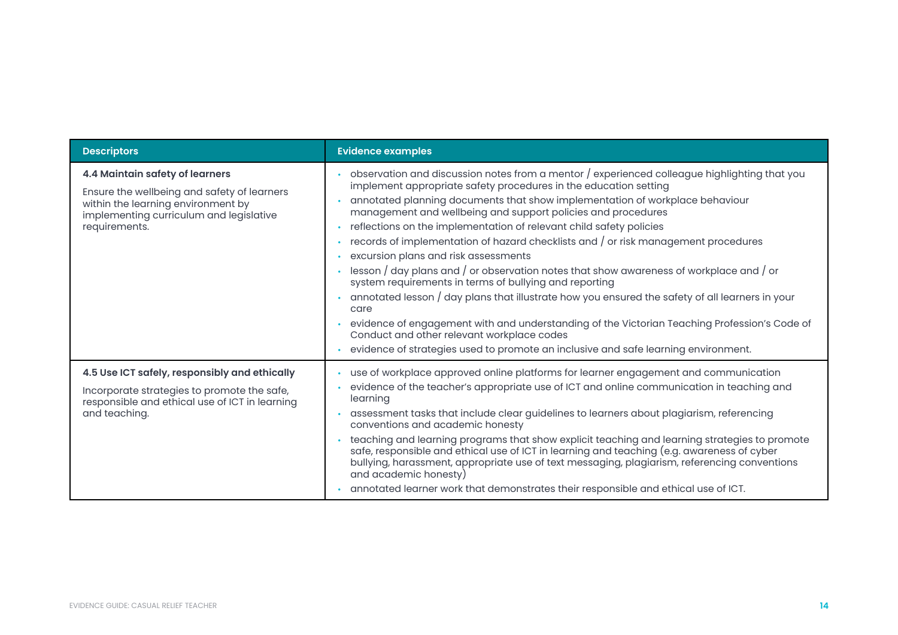| <b>Descriptors</b>                                                                                                                                                               | <b>Evidence examples</b>                                                                                                                                                                                                                                                                                                                                                                                                                                                                                                                                                                                                                                                                                                                                                                                                                                                                                                                                                                                                  |
|----------------------------------------------------------------------------------------------------------------------------------------------------------------------------------|---------------------------------------------------------------------------------------------------------------------------------------------------------------------------------------------------------------------------------------------------------------------------------------------------------------------------------------------------------------------------------------------------------------------------------------------------------------------------------------------------------------------------------------------------------------------------------------------------------------------------------------------------------------------------------------------------------------------------------------------------------------------------------------------------------------------------------------------------------------------------------------------------------------------------------------------------------------------------------------------------------------------------|
| 4.4 Maintain safety of learners<br>Ensure the wellbeing and safety of learners<br>within the learning environment by<br>implementing curriculum and legislative<br>requirements. | observation and discussion notes from a mentor / experienced colleague highlighting that you<br>implement appropriate safety procedures in the education setting<br>annotated planning documents that show implementation of workplace behaviour<br>management and wellbeing and support policies and procedures<br>reflections on the implementation of relevant child safety policies<br>records of implementation of hazard checklists and / or risk management procedures<br>excursion plans and risk assessments<br>lesson / day plans and / or observation notes that show awareness of workplace and / or<br>system requirements in terms of bullying and reporting<br>annotated lesson / day plans that illustrate how you ensured the safety of all learners in your<br>care<br>evidence of engagement with and understanding of the Victorian Teaching Profession's Code of<br>Conduct and other relevant workplace codes<br>evidence of strategies used to promote an inclusive and safe learning environment. |
| 4.5 Use ICT safely, responsibly and ethically<br>Incorporate strategies to promote the safe,<br>responsible and ethical use of ICT in learning<br>and teaching.                  | use of workplace approved online platforms for learner engagement and communication<br>evidence of the teacher's appropriate use of ICT and online communication in teaching and<br>learning<br>assessment tasks that include clear guidelines to learners about plagiarism, referencing<br>conventions and academic honesty<br>teaching and learning programs that show explicit teaching and learning strategies to promote<br>safe, responsible and ethical use of ICT in learning and teaching (e.g. awareness of cyber<br>bullying, harassment, appropriate use of text messaging, plagiarism, referencing conventions<br>and academic honesty)<br>annotated learner work that demonstrates their responsible and ethical use of ICT.                                                                                                                                                                                                                                                                                |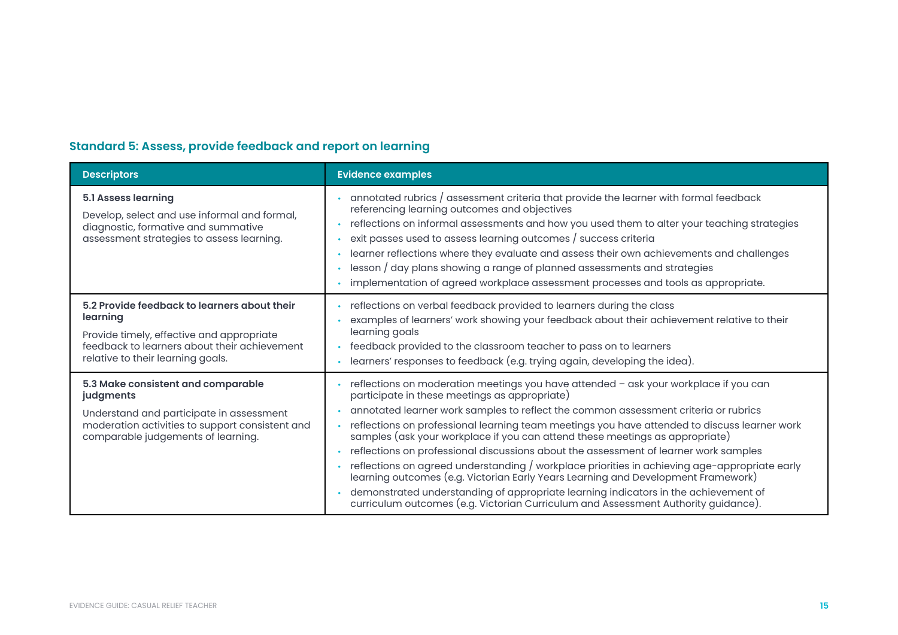### **Standard 5: Assess, provide feedback and report on learning**

| <b>Descriptors</b>                                                                                                                                                                         | <b>Evidence examples</b>                                                                                                                                                                                                                                                                                                                                                                                                                                                                                                                                                                                                                                                                                                                                                                                                                                                |
|--------------------------------------------------------------------------------------------------------------------------------------------------------------------------------------------|-------------------------------------------------------------------------------------------------------------------------------------------------------------------------------------------------------------------------------------------------------------------------------------------------------------------------------------------------------------------------------------------------------------------------------------------------------------------------------------------------------------------------------------------------------------------------------------------------------------------------------------------------------------------------------------------------------------------------------------------------------------------------------------------------------------------------------------------------------------------------|
| <b>5.1 Assess learning</b><br>Develop, select and use informal and formal,<br>diagnostic, formative and summative<br>assessment strategies to assess learning.                             | annotated rubrics / assessment criteria that provide the learner with formal feedback<br>referencing learning outcomes and objectives<br>reflections on informal assessments and how you used them to alter your teaching strategies<br>exit passes used to assess learning outcomes / success criteria<br>learner reflections where they evaluate and assess their own achievements and challenges<br>lesson / day plans showing a range of planned assessments and strategies<br>implementation of agreed workplace assessment processes and tools as appropriate.                                                                                                                                                                                                                                                                                                    |
| 5.2 Provide feedback to learners about their<br>learning<br>Provide timely, effective and appropriate<br>feedback to learners about their achievement<br>relative to their learning goals. | reflections on verbal feedback provided to learners during the class<br>examples of learners' work showing your feedback about their achievement relative to their<br>learning goals<br>feedback provided to the classroom teacher to pass on to learners<br>learners' responses to feedback (e.g. trying again, developing the idea).                                                                                                                                                                                                                                                                                                                                                                                                                                                                                                                                  |
| 5.3 Make consistent and comparable<br>judgments<br>Understand and participate in assessment<br>moderation activities to support consistent and<br>comparable judgements of learning.       | reflections on moderation meetings you have attended - ask your workplace if you can<br>participate in these meetings as appropriate)<br>annotated learner work samples to reflect the common assessment criteria or rubrics<br>reflections on professional learning team meetings you have attended to discuss learner work<br>samples (ask your workplace if you can attend these meetings as appropriate)<br>reflections on professional discussions about the assessment of learner work samples<br>reflections on agreed understanding / workplace priorities in achieving age-appropriate early<br>learning outcomes (e.g. Victorian Early Years Learning and Development Framework)<br>demonstrated understanding of appropriate learning indicators in the achievement of<br>curriculum outcomes (e.g. Victorian Curriculum and Assessment Authority guidance). |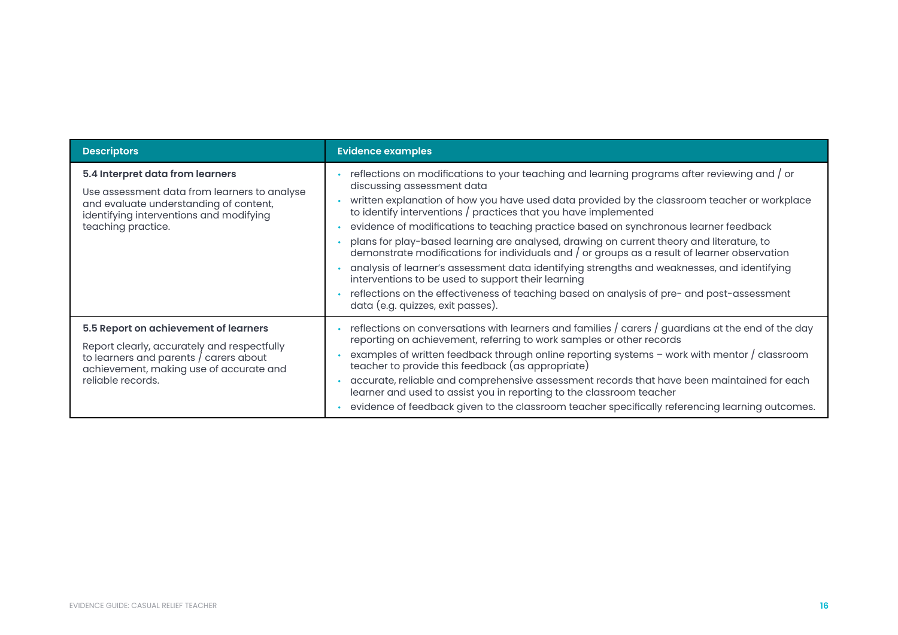| <b>Descriptors</b>                                                                                                                                                                             | <b>Evidence examples</b>                                                                                                                                                                                                                                                                                                                                                                                                                                                                                                                                                                                                                                                                                                                                                                                                                                                  |
|------------------------------------------------------------------------------------------------------------------------------------------------------------------------------------------------|---------------------------------------------------------------------------------------------------------------------------------------------------------------------------------------------------------------------------------------------------------------------------------------------------------------------------------------------------------------------------------------------------------------------------------------------------------------------------------------------------------------------------------------------------------------------------------------------------------------------------------------------------------------------------------------------------------------------------------------------------------------------------------------------------------------------------------------------------------------------------|
| 5.4 Interpret data from learners<br>Use assessment data from learners to analyse<br>and evaluate understanding of content,<br>identifying interventions and modifying<br>teaching practice.    | reflections on modifications to your teaching and learning programs after reviewing and / or<br>discussing assessment data<br>written explanation of how you have used data provided by the classroom teacher or workplace<br>to identify interventions / practices that you have implemented<br>evidence of modifications to teaching practice based on synchronous learner feedback<br>plans for play-based learning are analysed, drawing on current theory and literature, to<br>demonstrate modifications for individuals and / or groups as a result of learner observation<br>analysis of learner's assessment data identifying strengths and weaknesses, and identifying<br>interventions to be used to support their learning<br>reflections on the effectiveness of teaching based on analysis of pre- and post-assessment<br>data (e.g. quizzes, exit passes). |
| 5.5 Report on achievement of learners<br>Report clearly, accurately and respectfully<br>to learners and parents / carers about<br>achievement, making use of accurate and<br>reliable records. | reflections on conversations with learners and families / carers / guardians at the end of the day<br>reporting on achievement, referring to work samples or other records<br>examples of written feedback through online reporting systems - work with mentor / classroom<br>teacher to provide this feedback (as appropriate)<br>accurate, reliable and comprehensive assessment records that have been maintained for each<br>learner and used to assist you in reporting to the classroom teacher<br>evidence of feedback given to the classroom teacher specifically referencing learning outcomes.                                                                                                                                                                                                                                                                  |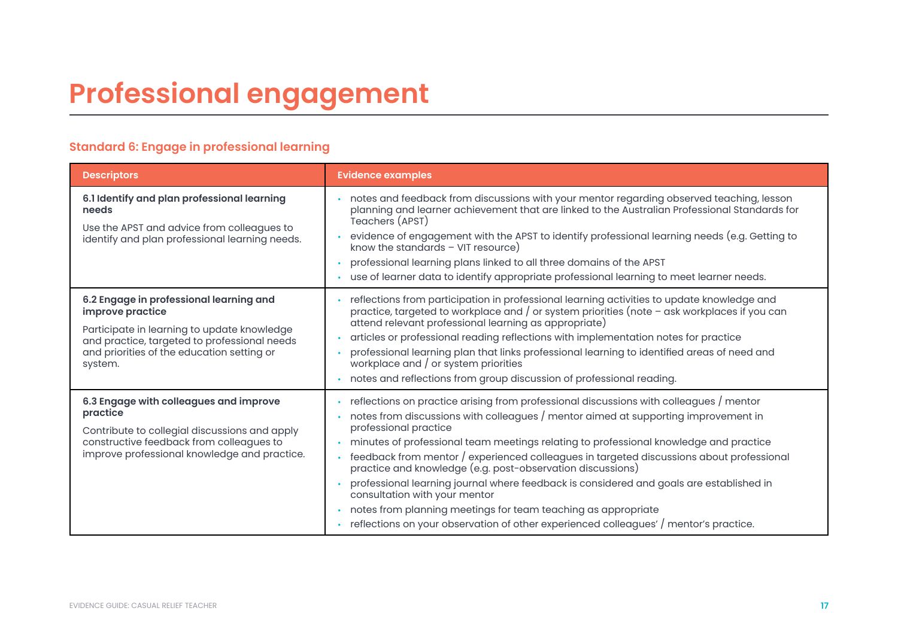# **Professional engagement**

#### **Standard 6: Engage in professional learning**

| <b>Descriptors</b>                                                                                                                                                                                                  | <b>Evidence examples</b>                                                                                                                                                                                                                                                                                                                                                                                                                                                                                                                                                                                                                                                                                                                       |
|---------------------------------------------------------------------------------------------------------------------------------------------------------------------------------------------------------------------|------------------------------------------------------------------------------------------------------------------------------------------------------------------------------------------------------------------------------------------------------------------------------------------------------------------------------------------------------------------------------------------------------------------------------------------------------------------------------------------------------------------------------------------------------------------------------------------------------------------------------------------------------------------------------------------------------------------------------------------------|
| 6.1 Identify and plan professional learning<br>needs<br>Use the APST and advice from colleagues to<br>identify and plan professional learning needs.                                                                | notes and feedback from discussions with your mentor regarding observed teaching, lesson<br>planning and learner achievement that are linked to the Australian Professional Standards for<br>Teachers (APST)<br>evidence of engagement with the APST to identify professional learning needs (e.g. Getting to<br>know the standards - VIT resource)<br>professional learning plans linked to all three domains of the APST<br>use of learner data to identify appropriate professional learning to meet learner needs.                                                                                                                                                                                                                         |
| 6.2 Engage in professional learning and<br>improve practice<br>Participate in learning to update knowledge<br>and practice, targeted to professional needs<br>and priorities of the education setting or<br>system. | reflections from participation in professional learning activities to update knowledge and<br>practice, targeted to workplace and / or system priorities (note - ask workplaces if you can<br>attend relevant professional learning as appropriate)<br>articles or professional reading reflections with implementation notes for practice<br>professional learning plan that links professional learning to identified areas of need and<br>workplace and $/$ or system priorities<br>notes and reflections from group discussion of professional reading.                                                                                                                                                                                    |
| 6.3 Engage with colleagues and improve<br>practice<br>Contribute to collegial discussions and apply<br>constructive feedback from colleagues to<br>improve professional knowledge and practice.                     | reflections on practice arising from professional discussions with colleagues / mentor<br>notes from discussions with colleagues / mentor aimed at supporting improvement in<br>professional practice<br>minutes of professional team meetings relating to professional knowledge and practice<br>feedback from mentor / experienced colleagues in targeted discussions about professional<br>practice and knowledge (e.g. post-observation discussions)<br>professional learning journal where feedback is considered and goals are established in<br>consultation with your mentor<br>notes from planning meetings for team teaching as appropriate<br>reflections on your observation of other experienced colleagues' / mentor's practice. |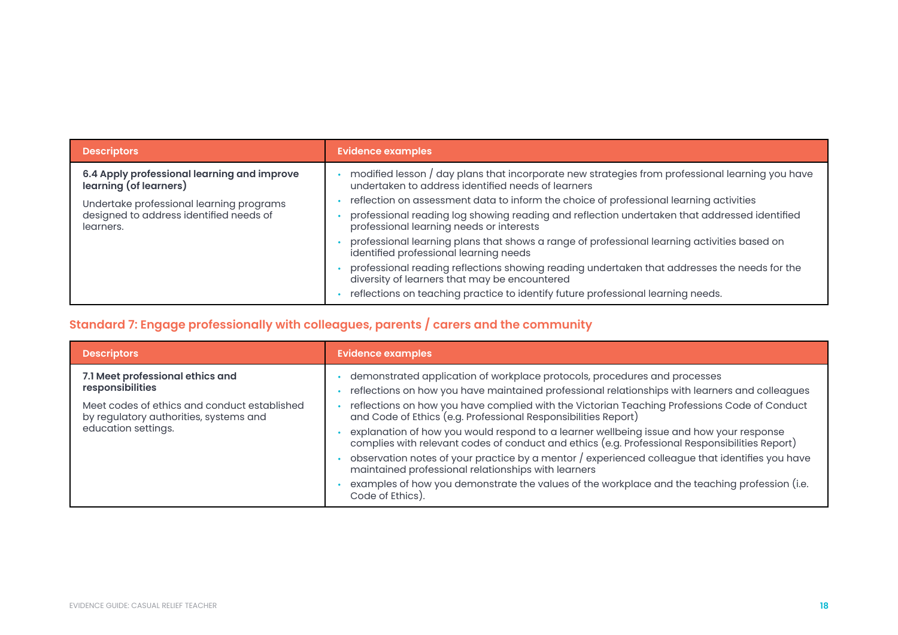| <b>Descriptors</b>                                                                               | <b>Evidence examples</b>                                                                                                                              |
|--------------------------------------------------------------------------------------------------|-------------------------------------------------------------------------------------------------------------------------------------------------------|
| 6.4 Apply professional learning and improve<br>learning (of learners)                            | modified lesson / day plans that incorporate new strategies from professional learning you have<br>undertaken to address identified needs of learners |
| Undertake professional learning programs<br>designed to address identified needs of<br>learners. | reflection on assessment data to inform the choice of professional learning activities                                                                |
|                                                                                                  | professional reading log showing reading and reflection undertaken that addressed identified<br>professional learning needs or interests              |
|                                                                                                  | professional learning plans that shows a range of professional learning activities based on<br>identified professional learning needs                 |
|                                                                                                  | professional reading reflections showing reading undertaken that addresses the needs for the<br>diversity of learners that may be encountered         |
|                                                                                                  | reflections on teaching practice to identify future professional learning needs.                                                                      |

#### **Standard 7: Engage professionally with colleagues, parents / carers and the community**

| <b>Descriptors</b>                                                                                            | <b>Evidence examples</b>                                                                                                                                                                  |
|---------------------------------------------------------------------------------------------------------------|-------------------------------------------------------------------------------------------------------------------------------------------------------------------------------------------|
| 7.1 Meet professional ethics and<br>responsibilities                                                          | demonstrated application of workplace protocols, procedures and processes<br>reflections on how you have maintained professional relationships with learners and colleagues               |
| Meet codes of ethics and conduct established<br>by regulatory authorities, systems and<br>education settings. | reflections on how you have complied with the Victorian Teaching Professions Code of Conduct<br>and Code of Ethics (e.g. Professional Responsibilities Report)                            |
|                                                                                                               | explanation of how you would respond to a learner wellbeing issue and how your response<br>complies with relevant codes of conduct and ethics (e.g. Professional Responsibilities Report) |
|                                                                                                               | observation notes of your practice by a mentor / experienced colleague that identifies you have<br>maintained professional relationships with learners                                    |
|                                                                                                               | examples of how you demonstrate the values of the workplace and the teaching profession (i.e.<br>Code of Ethics).                                                                         |